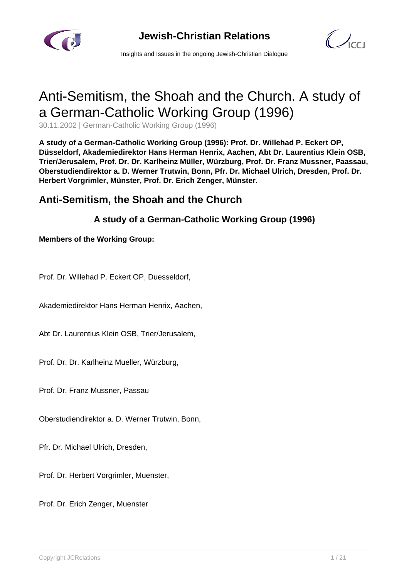



Insights and Issues in the ongoing Jewish-Christian Dialogue

# Anti-Semitism, the Shoah and the Church. A study of a German-Catholic Working Group (1996)

30.11.2002 | German-Catholic Working Group (1996)

**A study of a German-Catholic Working Group (1996): Prof. Dr. Willehad P. Eckert OP, Düsseldorf, Akademiedirektor Hans Herman Henrix, Aachen, Abt Dr. Laurentius Klein OSB, Trier/Jerusalem, Prof. Dr. Dr. Karlheinz Müller, Würzburg, Prof. Dr. Franz Mussner, Paassau, Oberstudiendirektor a. D. Werner Trutwin, Bonn, Pfr. Dr. Michael Ulrich, Dresden, Prof. Dr. Herbert Vorgrimler, Münster, Prof. Dr. Erich Zenger, Münster.**

## **Anti-Semitism, the Shoah and the Church**

## **A study of a German-Catholic Working Group (1996)**

**Members of the Working Group:**

Prof. Dr. Willehad P. Eckert OP, Duesseldorf,

Akademiedirektor Hans Herman Henrix, Aachen,

Abt Dr. Laurentius Klein OSB, Trier/Jerusalem,

Prof. Dr. Dr. Karlheinz Mueller, Würzburg,

Prof. Dr. Franz Mussner, Passau

Oberstudiendirektor a. D. Werner Trutwin, Bonn,

Pfr. Dr. Michael Ulrich, Dresden,

Prof. Dr. Herbert Vorgrimler, Muenster,

Prof. Dr. Erich Zenger, Muenster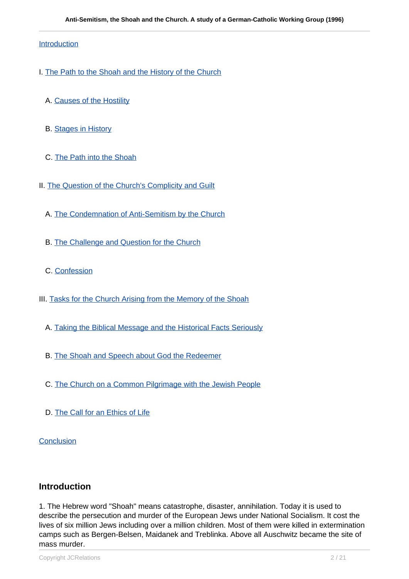#### Introduction

- I. [The Path to the Shoah and the History of the Church](http://#I.)
	- A. [Causes of the Hostility](http://#I.A)
	- B. [Stages in History](http://#I.B)
	- C. [The Path into the Shoah](http://#I.C)
- II. [The Question of the Church's Complicity and Guilt](http://#II.)
	- A. [The Condemnation of Anti-Semitism by the Church](http://#II.A)
	- B. [The Challenge and Question for the Church](http://#II.B)
	- C. [Confession](http://#II.C)
- III. [Tasks for the Church Arising from the Memory of the Shoah](http://#III.)
	- A. [Taking the Biblical Message and the Historical Facts Seriously](http://#III.A)
	- B. [The Shoah and Speech about God the Redeemer](http://#III.B)
	- C. [The Church on a Common Pilgrimage with the Jewish People](http://#III.C)
	- D. [The Call for an Ethics of Life](http://#III.D)

**Conclusion** 

### **Introduction**

1. The Hebrew word "Shoah" means catastrophe, disaster, annihilation. Today it is used to describe the persecution and murder of the European Jews under National Socialism. It cost the lives of six million Jews including over a million children. Most of them were killed in extermination camps such as Bergen-Belsen, Maidanek and Treblinka. Above all Auschwitz became the site of mass murder.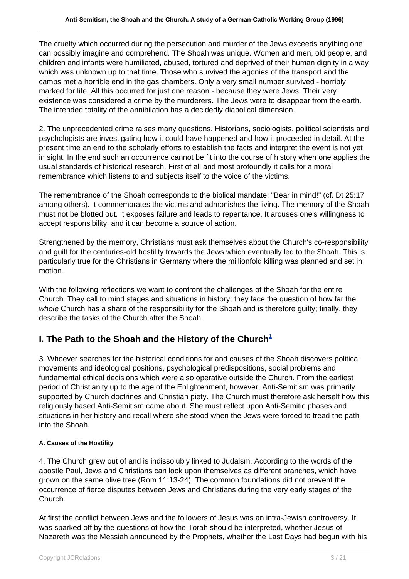The cruelty which occurred during the persecution and murder of the Jews exceeds anything one can possibly imagine and comprehend. The Shoah was unique. Women and men, old people, and children and infants were humiliated, abused, tortured and deprived of their human dignity in a way which was unknown up to that time. Those who survived the agonies of the transport and the camps met a horrible end in the gas chambers. Only a very small number survived - horribly marked for life. All this occurred for just one reason - because they were Jews. Their very existence was considered a crime by the murderers. The Jews were to disappear from the earth. The intended totality of the annihilation has a decidedly diabolical dimension.

2. The unprecedented crime raises many questions. Historians, sociologists, political scientists and psychologists are investigating how it could have happened and how it proceeded in detail. At the present time an end to the scholarly efforts to establish the facts and interpret the event is not yet in sight. In the end such an occurrence cannot be fit into the course of history when one applies the usual standards of historical research. First of all and most profoundly it calls for a moral remembrance which listens to and subjects itself to the voice of the victims.

The remembrance of the Shoah corresponds to the biblical mandate: "Bear in mind!" (cf. Dt 25:17 among others). It commemorates the victims and admonishes the living. The memory of the Shoah must not be blotted out. It exposes failure and leads to repentance. It arouses one's willingness to accept responsibility, and it can become a source of action.

Strengthened by the memory, Christians must ask themselves about the Church's co-responsibility and guilt for the centuries-old hostility towards the Jews which eventually led to the Shoah. This is particularly true for the Christians in Germany where the millionfold killing was planned and set in motion.

With the following reflections we want to confront the challenges of the Shoah for the entire Church. They call to mind stages and situations in history; they face the question of how far the whole Church has a share of the responsibility for the Shoah and is therefore guilty; finally, they describe the tasks of the Church after the Shoah.

## **I. The Path to the Shoah and the History of the Church**<sup>1</sup>

3. Whoever searches for the historical conditions for and causes of the Shoah discovers political movements and ideological positions, psychological predispositions, social problems and fundamental ethical decisions which were also operative outside the Church. From the earliest period of Christianity up to the age of the Enlightenment, however, Anti-Semitism was primarily supported by Church doctrines and Christian piety. The Church must therefore ask herself how this religiously based Anti-Semitism came about. She must reflect upon Anti-Semitic phases and situations in her history and recall where she stood when the Jews were forced to tread the path into the Shoah.

#### **A. Causes of the Hostility**

4. The Church grew out of and is indissolubly linked to Judaism. According to the words of the apostle Paul, Jews and Christians can look upon themselves as different branches, which have grown on the same olive tree (Rom 11:13-24). The common foundations did not prevent the occurrence of fierce disputes between Jews and Christians during the very early stages of the Church.

At first the conflict between Jews and the followers of Jesus was an intra-Jewish controversy. It was sparked off by the questions of how the Torah should be interpreted, whether Jesus of Nazareth was the Messiah announced by the Prophets, whether the Last Days had begun with his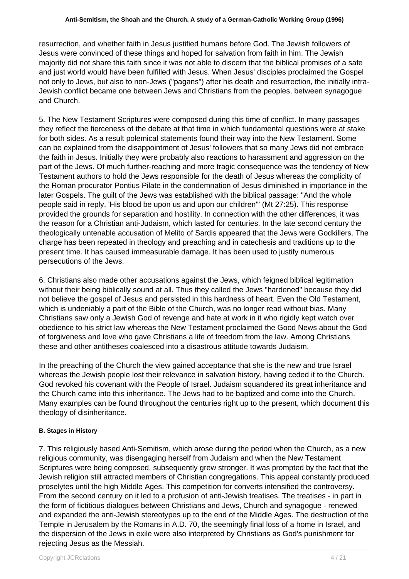resurrection, and whether faith in Jesus justified humans before God. The Jewish followers of Jesus were convinced of these things and hoped for salvation from faith in him. The Jewish majority did not share this faith since it was not able to discern that the biblical promises of a safe and just world would have been fulfilled with Jesus. When Jesus' disciples proclaimed the Gospel not only to Jews, but also to non-Jews ("pagans") after his death and resurrection, the initially intra-Jewish conflict became one between Jews and Christians from the peoples, between synagogue and Church.

5. The New Testament Scriptures were composed during this time of conflict. In many passages they reflect the fierceness of the debate at that time in which fundamental questions were at stake for both sides. As a result polemical statements found their way into the New Testament. Some can be explained from the disappointment of Jesus' followers that so many Jews did not embrace the faith in Jesus. Initially they were probably also reactions to harassment and aggression on the part of the Jews. Of much further-reaching and more tragic consequence was the tendency of New Testament authors to hold the Jews responsible for the death of Jesus whereas the complicity of the Roman procurator Pontius Pilate in the condemnation of Jesus diminished in importance in the later Gospels. The guilt of the Jews was established with the biblical passage: "And the whole people said in reply, 'His blood be upon us and upon our children'" (Mt 27:25). This response provided the grounds for separation and hostility. In connection with the other differences, it was the reason for a Christian anti-Judaism, which lasted for centuries. In the late second century the theologically untenable accusation of Melito of Sardis appeared that the Jews were Godkillers. The charge has been repeated in theology and preaching and in catechesis and traditions up to the present time. It has caused immeasurable damage. It has been used to justify numerous persecutions of the Jews.

6. Christians also made other accusations against the Jews, which feigned biblical legitimation without their being biblically sound at all. Thus they called the Jews "hardened" because they did not believe the gospel of Jesus and persisted in this hardness of heart. Even the Old Testament, which is undeniably a part of the Bible of the Church, was no longer read without bias. Many Christians saw only a Jewish God of revenge and hate at work in it who rigidly kept watch over obedience to his strict law whereas the New Testament proclaimed the Good News about the God of forgiveness and love who gave Christians a life of freedom from the law. Among Christians these and other antitheses coalesced into a disastrous attitude towards Judaism.

In the preaching of the Church the view gained acceptance that she is the new and true Israel whereas the Jewish people lost their relevance in salvation history, having ceded it to the Church. God revoked his covenant with the People of Israel. Judaism squandered its great inheritance and the Church came into this inheritance. The Jews had to be baptized and come into the Church. Many examples can be found throughout the centuries right up to the present, which document this theology of disinheritance.

#### **B. Stages in History**

7. This religiously based Anti-Semitism, which arose during the period when the Church, as a new religious community, was disengaging herself from Judaism and when the New Testament Scriptures were being composed, subsequently grew stronger. It was prompted by the fact that the Jewish religion still attracted members of Christian congregations. This appeal constantly produced proselytes until the high Middle Ages. This competition for converts intensified the controversy. From the second century on it led to a profusion of anti-Jewish treatises. The treatises - in part in the form of fictitious dialogues between Christians and Jews, Church and synagogue - renewed and expanded the anti-Jewish stereotypes up to the end of the Middle Ages. The destruction of the Temple in Jerusalem by the Romans in A.D. 70, the seemingly final loss of a home in Israel, and the dispersion of the Jews in exile were also interpreted by Christians as God's punishment for rejecting Jesus as the Messiah.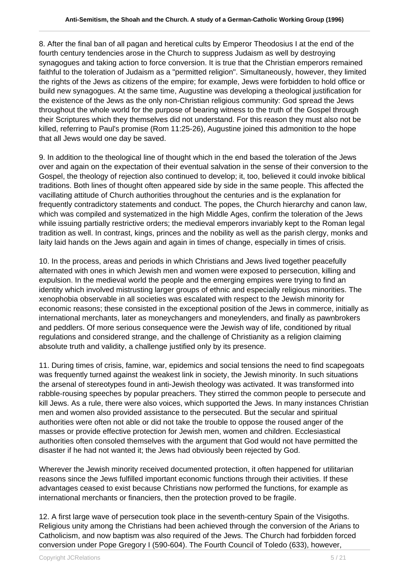8. After the final ban of all pagan and heretical cults by Emperor Theodosius I at the end of the fourth century tendencies arose in the Church to suppress Judaism as well by destroying synagogues and taking action to force conversion. It is true that the Christian emperors remained faithful to the toleration of Judaism as a "permitted religion". Simultaneously, however, they limited the rights of the Jews as citizens of the empire; for example, Jews were forbidden to hold office or build new synagogues. At the same time, Augustine was developing a theological justification for the existence of the Jews as the only non-Christian religious community: God spread the Jews throughout the whole world for the purpose of bearing witness to the truth of the Gospel through their Scriptures which they themselves did not understand. For this reason they must also not be killed, referring to Paul's promise (Rom 11:25-26), Augustine joined this admonition to the hope that all Jews would one day be saved.

9. In addition to the theological line of thought which in the end based the toleration of the Jews over and again on the expectation of their eventual salvation in the sense of their conversion to the Gospel, the theology of rejection also continued to develop; it, too, believed it could invoke biblical traditions. Both lines of thought often appeared side by side in the same people. This affected the vacillating attitude of Church authorities throughout the centuries and is the explanation for frequently contradictory statements and conduct. The popes, the Church hierarchy and canon law, which was compiled and systematized in the high Middle Ages, confirm the toleration of the Jews while issuing partially restrictive orders; the medieval emperors invariably kept to the Roman legal tradition as well. In contrast, kings, princes and the nobility as well as the parish clergy, monks and laity laid hands on the Jews again and again in times of change, especially in times of crisis.

10. In the process, areas and periods in which Christians and Jews lived together peacefully alternated with ones in which Jewish men and women were exposed to persecution, killing and expulsion. In the medieval world the people and the emerging empires were trying to find an identity which involved mistrusting larger groups of ethnic and especially religious minorities. The xenophobia observable in all societies was escalated with respect to the Jewish minority for economic reasons; these consisted in the exceptional position of the Jews in commerce, initially as international merchants, later as moneychangers and moneylenders, and finally as pawnbrokers and peddlers. Of more serious consequence were the Jewish way of life, conditioned by ritual regulations and considered strange, and the challenge of Christianity as a religion claiming absolute truth and validity, a challenge justified only by its presence.

11. During times of crisis, famine, war, epidemics and social tensions the need to find scapegoats was frequently turned against the weakest link in society, the Jewish minority. In such situations the arsenal of stereotypes found in anti-Jewish theology was activated. It was transformed into rabble-rousing speeches by popular preachers. They stirred the common people to persecute and kill Jews. As a rule, there were also voices, which supported the Jews. In many instances Christian men and women also provided assistance to the persecuted. But the secular and spiritual authorities were often not able or did not take the trouble to oppose the roused anger of the masses or provide effective protection for Jewish men, women and children. Ecclesiastical authorities often consoled themselves with the argument that God would not have permitted the disaster if he had not wanted it; the Jews had obviously been rejected by God.

Wherever the Jewish minority received documented protection, it often happened for utilitarian reasons since the Jews fulfilled important economic functions through their activities. If these advantages ceased to exist because Christians now performed the functions, for example as international merchants or financiers, then the protection proved to be fragile.

12. A first large wave of persecution took place in the seventh-century Spain of the Visigoths. Religious unity among the Christians had been achieved through the conversion of the Arians to Catholicism, and now baptism was also required of the Jews. The Church had forbidden forced conversion under Pope Gregory I (590-604). The Fourth Council of Toledo (633), however,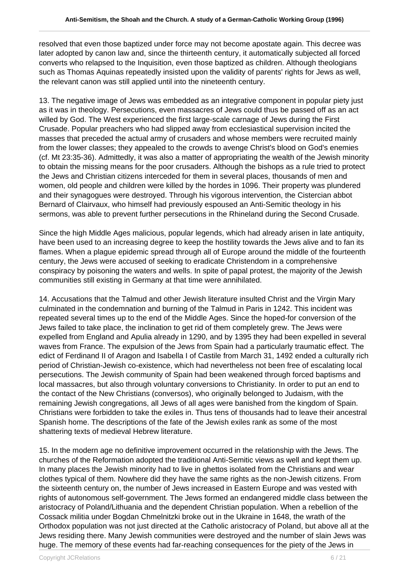resolved that even those baptized under force may not become apostate again. This decree was later adopted by canon law and, since the thirteenth century, it automatically subjected all forced converts who relapsed to the Inquisition, even those baptized as children. Although theologians such as Thomas Aquinas repeatedly insisted upon the validity of parents' rights for Jews as well, the relevant canon was still applied until into the nineteenth century.

13. The negative image of Jews was embedded as an integrative component in popular piety just as it was in theology. Persecutions, even massacres of Jews could thus be passed off as an act willed by God. The West experienced the first large-scale carnage of Jews during the First Crusade. Popular preachers who had slipped away from ecclesiastical supervision incited the masses that preceded the actual army of crusaders and whose members were recruited mainly from the lower classes; they appealed to the crowds to avenge Christ's blood on God's enemies (cf. Mt 23:35-36). Admittedly, it was also a matter of appropriating the wealth of the Jewish minority to obtain the missing means for the poor crusaders. Although the bishops as a rule tried to protect the Jews and Christian citizens interceded for them in several places, thousands of men and women, old people and children were killed by the hordes in 1096. Their property was plundered and their synagogues were destroyed. Through his vigorous intervention, the Cistercian abbot Bernard of Clairvaux, who himself had previously espoused an Anti-Semitic theology in his sermons, was able to prevent further persecutions in the Rhineland during the Second Crusade.

Since the high Middle Ages malicious, popular legends, which had already arisen in late antiquity, have been used to an increasing degree to keep the hostility towards the Jews alive and to fan its flames. When a plague epidemic spread through all of Europe around the middle of the fourteenth century, the Jews were accused of seeking to eradicate Christendom in a comprehensive conspiracy by poisoning the waters and wells. In spite of papal protest, the majority of the Jewish communities still existing in Germany at that time were annihilated.

14. Accusations that the Talmud and other Jewish literature insulted Christ and the Virgin Mary culminated in the condemnation and burning of the Talmud in Paris in 1242. This incident was repeated several times up to the end of the Middle Ages. Since the hoped-for conversion of the Jews failed to take place, the inclination to get rid of them completely grew. The Jews were expelled from England and Apulia already in 1290, and by 1395 they had been expelled in several waves from France. The expulsion of the Jews from Spain had a particularly traumatic effect. The edict of Ferdinand II of Aragon and Isabella I of Castile from March 31, 1492 ended a culturally rich period of Christian-Jewish co-existence, which had nevertheless not been free of escalating local persecutions. The Jewish community of Spain had been weakened through forced baptisms and local massacres, but also through voluntary conversions to Christianity. In order to put an end to the contact of the New Christians (conversos), who originally belonged to Judaism, with the remaining Jewish congregations, all Jews of all ages were banished from the kingdom of Spain. Christians were forbidden to take the exiles in. Thus tens of thousands had to leave their ancestral Spanish home. The descriptions of the fate of the Jewish exiles rank as some of the most shattering texts of medieval Hebrew literature.

15. In the modern age no definitive improvement occurred in the relationship with the Jews. The churches of the Reformation adopted the traditional Anti-Semitic views as well and kept them up. In many places the Jewish minority had to live in ghettos isolated from the Christians and wear clothes typical of them. Nowhere did they have the same rights as the non-Jewish citizens. From the sixteenth century on, the number of Jews increased in Eastern Europe and was vested with rights of autonomous self-government. The Jews formed an endangered middle class between the aristocracy of Poland/Lithuania and the dependent Christian population. When a rebellion of the Cossack militia under Bogdan Chmelnitzki broke out in the Ukraine in 1648, the wrath of the Orthodox population was not just directed at the Catholic aristocracy of Poland, but above all at the Jews residing there. Many Jewish communities were destroyed and the number of slain Jews was huge. The memory of these events had far-reaching consequences for the piety of the Jews in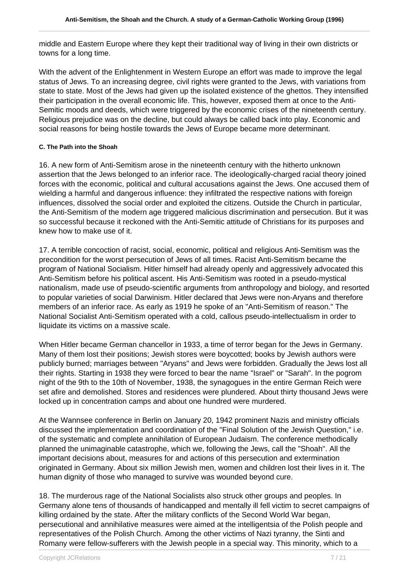middle and Eastern Europe where they kept their traditional way of living in their own districts or towns for a long time.

With the advent of the Enlightenment in Western Europe an effort was made to improve the legal status of Jews. To an increasing degree, civil rights were granted to the Jews, with variations from state to state. Most of the Jews had given up the isolated existence of the ghettos. They intensified their participation in the overall economic life. This, however, exposed them at once to the Anti-Semitic moods and deeds, which were triggered by the economic crises of the nineteenth century. Religious prejudice was on the decline, but could always be called back into play. Economic and social reasons for being hostile towards the Jews of Europe became more determinant.

#### **C. The Path into the Shoah**

16. A new form of Anti-Semitism arose in the nineteenth century with the hitherto unknown assertion that the Jews belonged to an inferior race. The ideologically-charged racial theory joined forces with the economic, political and cultural accusations against the Jews. One accused them of wielding a harmful and dangerous influence: they infiltrated the respective nations with foreign influences, dissolved the social order and exploited the citizens. Outside the Church in particular, the Anti-Semitism of the modern age triggered malicious discrimination and persecution. But it was so successful because it reckoned with the Anti-Semitic attitude of Christians for its purposes and knew how to make use of it.

17. A terrible concoction of racist, social, economic, political and religious Anti-Semitism was the precondition for the worst persecution of Jews of all times. Racist Anti-Semitism became the program of National Socialism. Hitler himself had already openly and aggressively advocated this Anti-Semitism before his political ascent. His Anti-Semitism was rooted in a pseudo-mystical nationalism, made use of pseudo-scientific arguments from anthropology and biology, and resorted to popular varieties of social Darwinism. Hitler declared that Jews were non-Aryans and therefore members of an inferior race. As early as 1919 he spoke of an "Anti-Semitism of reason." The National Socialist Anti-Semitism operated with a cold, callous pseudo-intellectualism in order to liquidate its victims on a massive scale.

When Hitler became German chancellor in 1933, a time of terror began for the Jews in Germany. Many of them lost their positions; Jewish stores were boycotted; books by Jewish authors were publicly burned; marriages between "Aryans" and Jews were forbidden. Gradually the Jews lost all their rights. Starting in 1938 they were forced to bear the name "Israel" or "Sarah". In the pogrom night of the 9th to the 10th of November, 1938, the synagogues in the entire German Reich were set afire and demolished. Stores and residences were plundered. About thirty thousand Jews were locked up in concentration camps and about one hundred were murdered.

At the Wannsee conference in Berlin on January 20, 1942 prominent Nazis and ministry officials discussed the implementation and coordination of the "Final Solution of the Jewish Question," i.e. of the systematic and complete annihilation of European Judaism. The conference methodically planned the unimaginable catastrophe, which we, following the Jews, call the "Shoah". All the important decisions about, measures for and actions of this persecution and extermination originated in Germany. About six million Jewish men, women and children lost their lives in it. The human dignity of those who managed to survive was wounded beyond cure.

18. The murderous rage of the National Socialists also struck other groups and peoples. In Germany alone tens of thousands of handicapped and mentally ill fell victim to secret campaigns of killing ordained by the state. After the military conflicts of the Second World War began, persecutional and annihilative measures were aimed at the intelligentsia of the Polish people and representatives of the Polish Church. Among the other victims of Nazi tyranny, the Sinti and Romany were fellow-sufferers with the Jewish people in a special way. This minority, which to a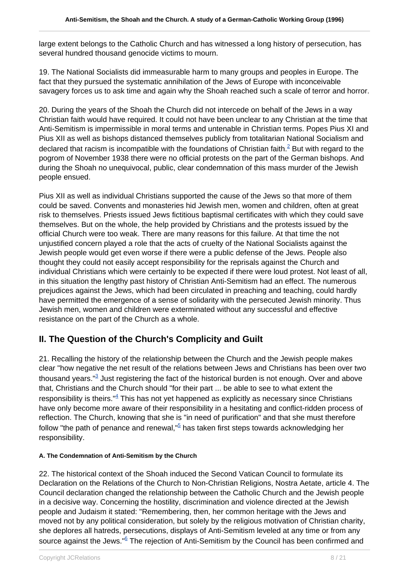large extent belongs to the Catholic Church and has witnessed a long history of persecution, has several hundred thousand genocide victims to mourn.

19. The National Socialists did immeasurable harm to many groups and peoples in Europe. The fact that they pursued the systematic annihilation of the Jews of Europe with inconceivable savagery forces us to ask time and again why the Shoah reached such a scale of terror and horror.

20. During the years of the Shoah the Church did not intercede on behalf of the Jews in a way Christian faith would have required. It could not have been unclear to any Christian at the time that Anti-Semitism is impermissible in moral terms and untenable in Christian terms. Popes Pius XI and Pius XII as well as bishops distanced themselves publicly from totalitarian National Socialism and declared that racism is incompatible with the foundations of Christian faith. $^2$  But with regard to the pogrom of November 1938 there were no official protests on the part of the German bishops. And during the Shoah no unequivocal, public, clear condemnation of this mass murder of the Jewish people ensued.

Pius XII as well as individual Christians supported the cause of the Jews so that more of them could be saved. Convents and monasteries hid Jewish men, women and children, often at great risk to themselves. Priests issued Jews fictitious baptismal certificates with which they could save themselves. But on the whole, the help provided by Christians and the protests issued by the official Church were too weak. There are many reasons for this failure. At that time the not unjustified concern played a role that the acts of cruelty of the National Socialists against the Jewish people would get even worse if there were a public defense of the Jews. People also thought they could not easily accept responsibility for the reprisals against the Church and individual Christians which were certainly to be expected if there were loud protest. Not least of all, in this situation the lengthy past history of Christian Anti-Semitism had an effect. The numerous prejudices against the Jews, which had been circulated in preaching and teaching, could hardly have permitted the emergence of a sense of solidarity with the persecuted Jewish minority. Thus Jewish men, women and children were exterminated without any successful and effective resistance on the part of the Church as a whole.

## **II. The Question of the Church's Complicity and Guilt**

21. Recalling the history of the relationship between the Church and the Jewish people makes clear "how negative the net result of the relations between Jews and Christians has been over two thousand years."<sup>3</sup> Just registering the fact of the historical burden is not enough. Over and above that, Christians and the Church should "for their part ... be able to see to what extent the responsibility is theirs." $4$  This has not yet happened as explicitly as necessary since Christians have only become more aware of their responsibility in a hesitating and conflict-ridden process of reflection. The Church, knowing that she is "in need of purification" and that she must therefore follow "the path of penance and renewal,"<sup>5</sup> has taken first steps towards acknowledging her responsibility.

#### **A. The Condemnation of Anti-Semitism by the Church**

22. The historical context of the Shoah induced the Second Vatican Council to formulate its Declaration on the Relations of the Church to Non-Christian Religions, Nostra Aetate, article 4. The Council declaration changed the relationship between the Catholic Church and the Jewish people in a decisive way. Concerning the hostility, discrimination and violence directed at the Jewish people and Judaism it stated: "Remembering, then, her common heritage with the Jews and moved not by any political consideration, but solely by the religious motivation of Christian charity, she deplores all hatreds, persecutions, displays of Anti-Semitism leveled at any time or from any source against the Jews." <sup>6</sup> The rejection of Anti-Semitism by the Council has been confirmed and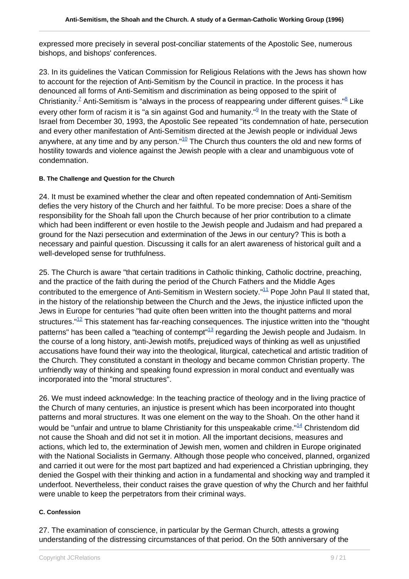expressed more precisely in several post-conciliar statements of the Apostolic See, numerous bishops, and bishops' conferences.

23. In its guidelines the Vatican Commission for Religious Relations with the Jews has shown how to account for the rejection of Anti-Semitism by the Council in practice. In the process it has denounced all forms of Anti-Semitism and discrimination as being opposed to the spirit of Christianity.<sup>7</sup> Anti-Semitism is "always in the process of reappearing under different guises." $8$  Like every other form of racism it is "a sin against God and humanity."<sup>9</sup> In the treaty with the State of Israel from December 30, 1993, the Apostolic See repeated "its condemnation of hate, persecution and every other manifestation of Anti-Semitism directed at the Jewish people or individual Jews anywhere, at any time and by any person. $10^{\circ}$  The Church thus counters the old and new forms of hostility towards and violence against the Jewish people with a clear and unambiguous vote of condemnation.

#### **B. The Challenge and Question for the Church**

24. It must be examined whether the clear and often repeated condemnation of Anti-Semitism defies the very history of the Church and her faithful. To be more precise: Does a share of the responsibility for the Shoah fall upon the Church because of her prior contribution to a climate which had been indifferent or even hostile to the Jewish people and Judaism and had prepared a ground for the Nazi persecution and extermination of the Jews in our century? This is both a necessary and painful question. Discussing it calls for an alert awareness of historical guilt and a well-developed sense for truthfulness.

25. The Church is aware "that certain traditions in Catholic thinking, Catholic doctrine, preaching, and the practice of the faith during the period of the Church Fathers and the Middle Ages contributed to the emergence of Anti-Semitism in Western society."<sup>11</sup> Pope John Paul II stated that, in the history of the relationship between the Church and the Jews, the injustice inflicted upon the Jews in Europe for centuries "had quite often been written into the thought patterns and moral structures." $12$  This statement has far-reaching consequences. The injustice written into the "thought" patterns" has been called a "teaching of contempt"<sup>13</sup> regarding the Jewish people and Judaism. In the course of a long history, anti-Jewish motifs, prejudiced ways of thinking as well as unjustified accusations have found their way into the theological, liturgical, catechetical and artistic tradition of the Church. They constituted a constant in theology and became common Christian property. The unfriendly way of thinking and speaking found expression in moral conduct and eventually was incorporated into the "moral structures".

26. We must indeed acknowledge: In the teaching practice of theology and in the living practice of the Church of many centuries, an injustice is present which has been incorporated into thought patterns and moral structures. It was one element on the way to the Shoah. On the other hand it would be "unfair and untrue to blame Christianity for this unspeakable crime."<sup>14</sup> Christendom did not cause the Shoah and did not set it in motion. All the important decisions, measures and actions, which led to, the extermination of Jewish men, women and children in Europe originated with the National Socialists in Germany. Although those people who conceived, planned, organized and carried it out were for the most part baptized and had experienced a Christian upbringing, they denied the Gospel with their thinking and action in a fundamental and shocking way and trampled it underfoot. Nevertheless, their conduct raises the grave question of why the Church and her faithful were unable to keep the perpetrators from their criminal ways.

#### **C. Confession**

27. The examination of conscience, in particular by the German Church, attests a growing understanding of the distressing circumstances of that period. On the 50th anniversary of the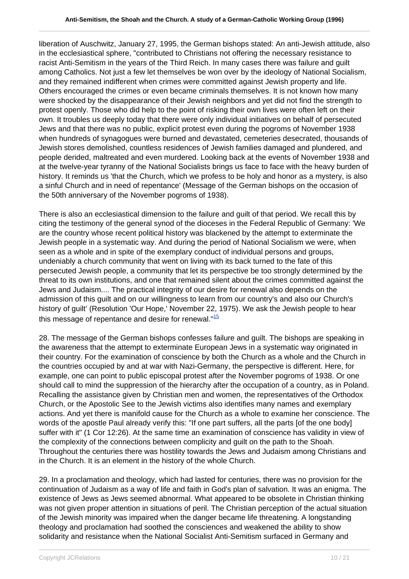liberation of Auschwitz, January 27, 1995, the German bishops stated: An anti-Jewish attitude, also in the ecclesiastical sphere, "contributed to Christians not offering the necessary resistance to racist Anti-Semitism in the years of the Third Reich. In many cases there was failure and guilt among Catholics. Not just a few let themselves be won over by the ideology of National Socialism, and they remained indifferent when crimes were committed against Jewish property and life. Others encouraged the crimes or even became criminals themselves. It is not known how many were shocked by the disappearance of their Jewish neighbors and yet did not find the strength to protest openly. Those who did help to the point of risking their own lives were often left on their own. It troubles us deeply today that there were only individual initiatives on behalf of persecuted Jews and that there was no public, explicit protest even during the pogroms of November 1938 when hundreds of synagogues were burned and devastated, cemeteries desecrated, thousands of Jewish stores demolished, countless residences of Jewish families damaged and plundered, and people derided, maltreated and even murdered. Looking back at the events of November 1938 and at the twelve-year tyranny of the National Socialists brings us face to face with the heavy burden of history. It reminds us 'that the Church, which we profess to be holy and honor as a mystery, is also a sinful Church and in need of repentance' (Message of the German bishops on the occasion of the 50th anniversary of the November pogroms of 1938).

There is also an ecclesiastical dimension to the failure and guilt of that period. We recall this by citing the testimony of the general synod of the dioceses in the Federal Republic of Germany: 'We are the country whose recent political history was blackened by the attempt to exterminate the Jewish people in a systematic way. And during the period of National Socialism we were, when seen as a whole and in spite of the exemplary conduct of individual persons and groups, undeniably a church community that went on living with its back turned to the fate of this persecuted Jewish people, a community that let its perspective be too strongly determined by the threat to its own institutions, and one that remained silent about the crimes committed against the Jews and Judaism.... The practical integrity of our desire for renewal also depends on the admission of this guilt and on our willingness to learn from our country's and also our Church's history of guilt' (Resolution 'Our Hope,' November 22, 1975). We ask the Jewish people to hear this message of repentance and desire for renewal. $15$ 

28. The message of the German bishops confesses failure and guilt. The bishops are speaking in the awareness that the attempt to exterminate European Jews in a systematic way originated in their country. For the examination of conscience by both the Church as a whole and the Church in the countries occupied by and at war with Nazi-Germany, the perspective is different. Here, for example, one can point to public episcopal protest after the November pogroms of 1938. Or one should call to mind the suppression of the hierarchy after the occupation of a country, as in Poland. Recalling the assistance given by Christian men and women, the representatives of the Orthodox Church, or the Apostolic See to the Jewish victims also identifies many names and exemplary actions. And yet there is manifold cause for the Church as a whole to examine her conscience. The words of the apostle Paul already verify this: "If one part suffers, all the parts [of the one body] suffer with it" (1 Cor 12:26). At the same time an examination of conscience has validity in view of the complexity of the connections between complicity and guilt on the path to the Shoah. Throughout the centuries there was hostility towards the Jews and Judaism among Christians and in the Church. It is an element in the history of the whole Church.

29. In a proclamation and theology, which had lasted for centuries, there was no provision for the continuation of Judaism as a way of life and faith in God's plan of salvation. It was an enigma. The existence of Jews as Jews seemed abnormal. What appeared to be obsolete in Christian thinking was not given proper attention in situations of peril. The Christian perception of the actual situation of the Jewish minority was impaired when the danger became life threatening. A longstanding theology and proclamation had soothed the consciences and weakened the ability to show solidarity and resistance when the National Socialist Anti-Semitism surfaced in Germany and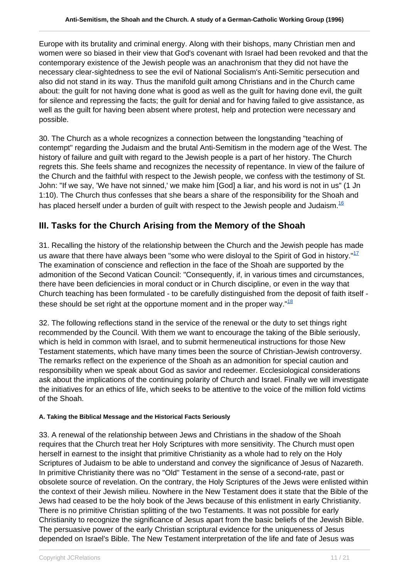Europe with its brutality and criminal energy. Along with their bishops, many Christian men and women were so biased in their view that God's covenant with Israel had been revoked and that the contemporary existence of the Jewish people was an anachronism that they did not have the necessary clear-sightedness to see the evil of National Socialism's Anti-Semitic persecution and also did not stand in its way. Thus the manifold guilt among Christians and in the Church came about: the guilt for not having done what is good as well as the guilt for having done evil, the guilt for silence and repressing the facts; the guilt for denial and for having failed to give assistance, as well as the guilt for having been absent where protest, help and protection were necessary and possible.

30. The Church as a whole recognizes a connection between the longstanding "teaching of contempt" regarding the Judaism and the brutal Anti-Semitism in the modern age of the West. The history of failure and guilt with regard to the Jewish people is a part of her history. The Church regrets this. She feels shame and recognizes the necessity of repentance. In view of the failure of the Church and the faithful with respect to the Jewish people, we confess with the testimony of St. John: "If we say, 'We have not sinned,' we make him [God] a liar, and his word is not in us" (1 Jn 1:10). The Church thus confesses that she bears a share of the responsibility for the Shoah and has placed herself under a burden of quilt with respect to the Jewish people and Judaism. $^{16}$ 

## **III. Tasks for the Church Arising from the Memory of the Shoah**

31. Recalling the history of the relationship between the Church and the Jewish people has made us aware that there have always been "some who were disloyal to the Spirit of God in history."<sup>17</sup> The examination of conscience and reflection in the face of the Shoah are supported by the admonition of the Second Vatican Council: "Consequently, if, in various times and circumstances, there have been deficiencies in moral conduct or in Church discipline, or even in the way that Church teaching has been formulated - to be carefully distinguished from the deposit of faith itself these should be set right at the opportune moment and in the proper way. $18$ 

32. The following reflections stand in the service of the renewal or the duty to set things right recommended by the Council. With them we want to encourage the taking of the Bible seriously, which is held in common with Israel, and to submit hermeneutical instructions for those New Testament statements, which have many times been the source of Christian-Jewish controversy. The remarks reflect on the experience of the Shoah as an admonition for special caution and responsibility when we speak about God as savior and redeemer. Ecclesiological considerations ask about the implications of the continuing polarity of Church and Israel. Finally we will investigate the initiatives for an ethics of life, which seeks to be attentive to the voice of the million fold victims of the Shoah.

#### **A. Taking the Biblical Message and the Historical Facts Seriously**

33. A renewal of the relationship between Jews and Christians in the shadow of the Shoah requires that the Church treat her Holy Scriptures with more sensitivity. The Church must open herself in earnest to the insight that primitive Christianity as a whole had to rely on the Holy Scriptures of Judaism to be able to understand and convey the significance of Jesus of Nazareth. In primitive Christianity there was no "Old" Testament in the sense of a second-rate, past or obsolete source of revelation. On the contrary, the Holy Scriptures of the Jews were enlisted within the context of their Jewish milieu. Nowhere in the New Testament does it state that the Bible of the Jews had ceased to be the holy book of the Jews because of this enlistment in early Christianity. There is no primitive Christian splitting of the two Testaments. It was not possible for early Christianity to recognize the significance of Jesus apart from the basic beliefs of the Jewish Bible. The persuasive power of the early Christian scriptural evidence for the uniqueness of Jesus depended on Israel's Bible. The New Testament interpretation of the life and fate of Jesus was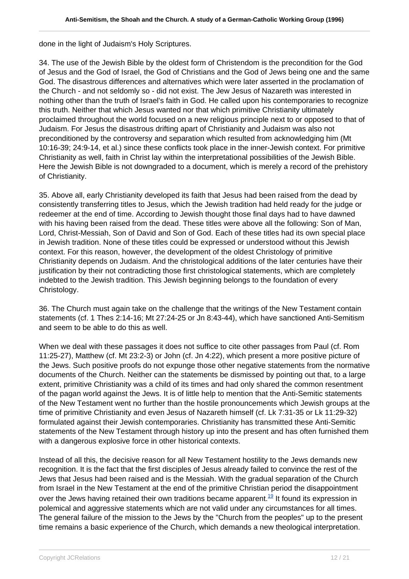done in the light of Judaism's Holy Scriptures.

34. The use of the Jewish Bible by the oldest form of Christendom is the precondition for the God of Jesus and the God of Israel, the God of Christians and the God of Jews being one and the same God. The disastrous differences and alternatives which were later asserted in the proclamation of the Church - and not seldomly so - did not exist. The Jew Jesus of Nazareth was interested in nothing other than the truth of Israel's faith in God. He called upon his contemporaries to recognize this truth. Neither that which Jesus wanted nor that which primitive Christianity ultimately proclaimed throughout the world focused on a new religious principle next to or opposed to that of Judaism. For Jesus the disastrous drifting apart of Christianity and Judaism was also not preconditioned by the controversy and separation which resulted from acknowledging him (Mt 10:16-39; 24:9-14, et al.) since these conflicts took place in the inner-Jewish context. For primitive Christianity as well, faith in Christ lay within the interpretational possibilities of the Jewish Bible. Here the Jewish Bible is not downgraded to a document, which is merely a record of the prehistory of Christianity.

35. Above all, early Christianity developed its faith that Jesus had been raised from the dead by consistently transferring titles to Jesus, which the Jewish tradition had held ready for the judge or redeemer at the end of time. According to Jewish thought those final days had to have dawned with his having been raised from the dead. These titles were above all the following: Son of Man, Lord, Christ-Messiah, Son of David and Son of God. Each of these titles had its own special place in Jewish tradition. None of these titles could be expressed or understood without this Jewish context. For this reason, however, the development of the oldest Christology of primitive Christianity depends on Judaism. And the christological additions of the later centuries have their justification by their not contradicting those first christological statements, which are completely indebted to the Jewish tradition. This Jewish beginning belongs to the foundation of every Christology.

36. The Church must again take on the challenge that the writings of the New Testament contain statements (cf. 1 Thes 2:14-16; Mt 27:24-25 or Jn 8:43-44), which have sanctioned Anti-Semitism and seem to be able to do this as well.

When we deal with these passages it does not suffice to cite other passages from Paul (cf. Rom 11:25-27), Matthew (cf. Mt 23:2-3) or John (cf. Jn 4:22), which present a more positive picture of the Jews. Such positive proofs do not expunge those other negative statements from the normative documents of the Church. Neither can the statements be dismissed by pointing out that, to a large extent, primitive Christianity was a child of its times and had only shared the common resentment of the pagan world against the Jews. It is of little help to mention that the Anti-Semitic statements of the New Testament went no further than the hostile pronouncements which Jewish groups at the time of primitive Christianity and even Jesus of Nazareth himself (cf. Lk 7:31-35 or Lk 11:29-32) formulated against their Jewish contemporaries. Christianity has transmitted these Anti-Semitic statements of the New Testament through history up into the present and has often furnished them with a dangerous explosive force in other historical contexts.

Instead of all this, the decisive reason for all New Testament hostility to the Jews demands new recognition. It is the fact that the first disciples of Jesus already failed to convince the rest of the Jews that Jesus had been raised and is the Messiah. With the gradual separation of the Church from Israel in the New Testament at the end of the primitive Christian period the disappointment over the Jews having retained their own traditions became apparent.<sup>19</sup> It found its expression in polemical and aggressive statements which are not valid under any circumstances for all times. The general failure of the mission to the Jews by the "Church from the peoples" up to the present time remains a basic experience of the Church, which demands a new theological interpretation.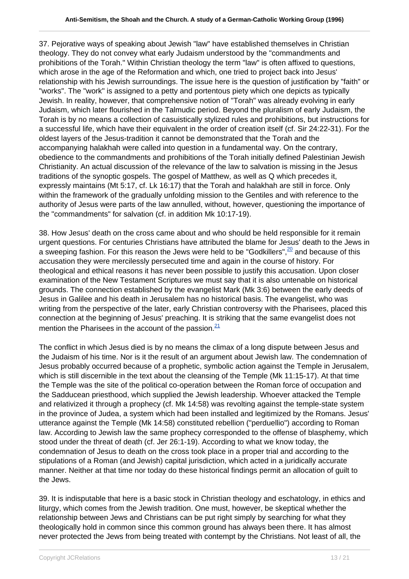37. Pejorative ways of speaking about Jewish "law" have established themselves in Christian theology. They do not convey what early Judaism understood by the "commandments and prohibitions of the Torah." Within Christian theology the term "law" is often affixed to questions, which arose in the age of the Reformation and which, one tried to project back into Jesus' relationship with his Jewish surroundings. The issue here is the question of justification by "faith" or "works". The "work" is assigned to a petty and portentous piety which one depicts as typically Jewish. In reality, however, that comprehensive notion of "Torah" was already evolving in early Judaism, which later flourished in the Talmudic period. Beyond the pluralism of early Judaism, the Torah is by no means a collection of casuistically stylized rules and prohibitions, but instructions for a successful life, which have their equivalent in the order of creation itself (cf. Sir 24:22-31). For the oldest layers of the Jesus-tradition it cannot be demonstrated that the Torah and the accompanying halakhah were called into question in a fundamental way. On the contrary, obedience to the commandments and prohibitions of the Torah initially defined Palestinian Jewish Christianity. An actual discussion of the relevance of the law to salvation is missing in the Jesus traditions of the synoptic gospels. The gospel of Matthew, as well as Q which precedes it, expressly maintains (Mt 5:17, cf. Lk 16:17) that the Torah and halakhah are still in force. Only within the framework of the gradually unfolding mission to the Gentiles and with reference to the authority of Jesus were parts of the law annulled, without, however, questioning the importance of the "commandments" for salvation (cf. in addition Mk 10:17-19).

38. How Jesus' death on the cross came about and who should be held responsible for it remain urgent questions. For centuries Christians have attributed the blame for Jesus' death to the Jews in a sweeping fashion. For this reason the Jews were held to be "Godkillers",  $\frac{20}{1}$  and because of this accusation they were mercilessly persecuted time and again in the course of history. For theological and ethical reasons it has never been possible to justify this accusation. Upon closer examination of the New Testament Scriptures we must say that it is also untenable on historical grounds. The connection established by the evangelist Mark (Mk 3:6) between the early deeds of Jesus in Galilee and his death in Jerusalem has no historical basis. The evangelist, who was writing from the perspective of the later, early Christian controversy with the Pharisees, placed this connection at the beginning of Jesus' preaching. It is striking that the same evangelist does not mention the Pharisees in the account of the passion. $\frac{21}{2}$ 

The conflict in which Jesus died is by no means the climax of a long dispute between Jesus and the Judaism of his time. Nor is it the result of an argument about Jewish law. The condemnation of Jesus probably occurred because of a prophetic, symbolic action against the Temple in Jerusalem, which is still discernible in the text about the cleansing of the Temple (Mk 11:15-17). At that time the Temple was the site of the political co-operation between the Roman force of occupation and the Sadducean priesthood, which supplied the Jewish leadership. Whoever attacked the Temple and relativized it through a prophecy (cf. Mk 14:58) was revolting against the temple-state system in the province of Judea, a system which had been installed and legitimized by the Romans. Jesus' utterance against the Temple (Mk 14:58) constituted rebellion ("perduellio") according to Roman law. According to Jewish law the same prophecy corresponded to the offense of blasphemy, which stood under the threat of death (cf. Jer 26:1-19). According to what we know today, the condemnation of Jesus to death on the cross took place in a proper trial and according to the stipulations of a Roman (and Jewish) capital jurisdiction, which acted in a juridically accurate manner. Neither at that time nor today do these historical findings permit an allocation of guilt to the Jews.

39. It is indisputable that here is a basic stock in Christian theology and eschatology, in ethics and liturgy, which comes from the Jewish tradition. One must, however, be skeptical whether the relationship between Jews and Christians can be put right simply by searching for what they theologically hold in common since this common ground has always been there. It has almost never protected the Jews from being treated with contempt by the Christians. Not least of all, the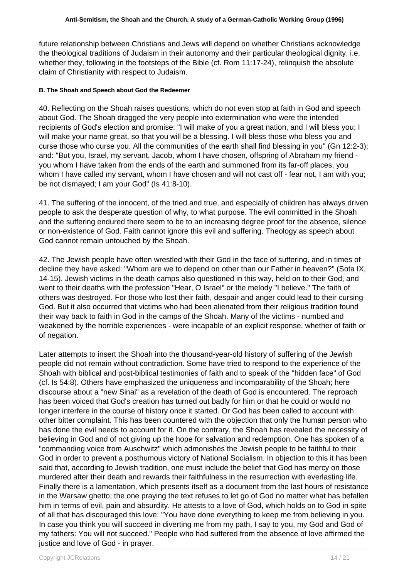future relationship between Christians and Jews will depend on whether Christians acknowledge the theological traditions of Judaism in their autonomy and their particular theological dignity, i.e. whether they, following in the footsteps of the Bible (cf. Rom 11:17-24), relinquish the absolute claim of Christianity with respect to Judaism.

#### **B. The Shoah and Speech about God the Redeemer**

40. Reflecting on the Shoah raises questions, which do not even stop at faith in God and speech about God. The Shoah dragged the very people into extermination who were the intended recipients of God's election and promise: "I will make of you a great nation, and I will bless you; I will make your name great, so that you will be a blessing. I will bless those who bless you and curse those who curse you. All the communities of the earth shall find blessing in you" (Gn 12:2-3); and: "But you, Israel, my servant, Jacob, whom I have chosen, offspring of Abraham my friend you whom I have taken from the ends of the earth and summoned from its far-off places, you whom I have called my servant, whom I have chosen and will not cast off - fear not, I am with you; be not dismayed; I am your God" (Is 41:8-10).

41. The suffering of the innocent, of the tried and true, and especially of children has always driven people to ask the desperate question of why, to what purpose. The evil committed in the Shoah and the suffering endured there seem to be to an increasing degree proof for the absence, silence or non-existence of God. Faith cannot ignore this evil and suffering. Theology as speech about God cannot remain untouched by the Shoah.

42. The Jewish people have often wrestled with their God in the face of suffering, and in times of decline they have asked: "Whom are we to depend on other than our Father in heaven?" (Sota IX, 14-15). Jewish victims in the death camps also questioned in this way, held on to their God, and went to their deaths with the profession "Hear, O Israel" or the melody "I believe." The faith of others was destroyed. For those who lost their faith, despair and anger could lead to their cursing God. But it also occurred that victims who had been alienated from their religious tradition found their way back to faith in God in the camps of the Shoah. Many of the victims - numbed and weakened by the horrible experiences - were incapable of an explicit response, whether of faith or of negation.

Later attempts to insert the Shoah into the thousand-year-old history of suffering of the Jewish people did not remain without contradiction. Some have tried to respond to the experience of the Shoah with biblical and post-biblical testimonies of faith and to speak of the "hidden face" of God (cf. Is 54:8). Others have emphasized the uniqueness and incomparability of the Shoah; here discourse about a "new Sinai" as a revelation of the death of God is encountered. The reproach has been voiced that God's creation has turned out badly for him or that he could or would no longer interfere in the course of history once it started. Or God has been called to account with other bitter complaint. This has been countered with the objection that only the human person who has done the evil needs to account for it. On the contrary, the Shoah has revealed the necessity of believing in God and of not giving up the hope for salvation and redemption. One has spoken of a "commanding voice from Auschwitz" which admonishes the Jewish people to be faithful to their God in order to prevent a posthumous victory of National Socialism. In objection to this it has been said that, according to Jewish tradition, one must include the belief that God has mercy on those murdered after their death and rewards their faithfulness in the resurrection with everlasting life. Finally there is a lamentation, which presents itself as a document from the last hours of resistance in the Warsaw ghetto; the one praying the text refuses to let go of God no matter what has befallen him in terms of evil, pain and absurdity. He attests to a love of God, which holds on to God in spite of all that has discouraged this love: "You have done everything to keep me from believing in you. In case you think you will succeed in diverting me from my path, I say to you, my God and God of my fathers: You will not succeed." People who had suffered from the absence of love affirmed the justice and love of God - in prayer.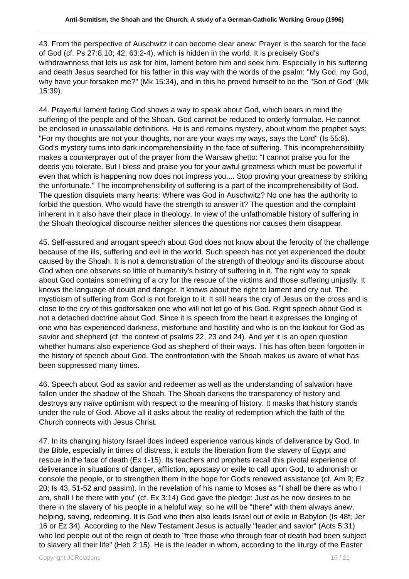43. From the perspective of Auschwitz it can become clear anew: Prayer is the search for the face of God (cf. Ps 27:8,10; 42; 63:2-4), which is hidden in the world. It is precisely God's withdrawnness that lets us ask for him, lament before him and seek him. Especially in his suffering and death Jesus searched for his father in this way with the words of the psalm: "My God, my God, why have your forsaken me?" (Mk 15:34), and in this he proved himself to be the "Son of God" (Mk 15:39).

44. Prayerful lament facing God shows a way to speak about God, which bears in mind the suffering of the people and of the Shoah. God cannot be reduced to orderly formulae. He cannot be enclosed in unassailable definitions. He is and remains mystery, about whom the prophet says: "For my thoughts are not your thoughts, nor are your ways my ways, says the Lord" (Is 55:8). God's mystery turns into dark incomprehensibility in the face of suffering. This incomprehensibility makes a counterprayer out of the prayer from the Warsaw ghetto: "I cannot praise you for the deeds you tolerate. But I bless and praise you for your awful greatness which must be powerful if even that which is happening now does not impress you.... Stop proving your greatness by striking the unfortunate." The incomprehensibility of suffering is a part of the incomprehensibility of God. The question disquiets many hearts: Where was God in Auschwitz? No one has the authority to forbid the question. Who would have the strength to answer it? The question and the complaint inherent in it also have their place in theology. In view of the unfathomable history of suffering in the Shoah theological discourse neither silences the questions nor causes them disappear.

45. Self-assured and arrogant speech about God does not know about the ferocity of the challenge because of the ills, suffering and evil in the world. Such speech has not yet experienced the doubt caused by the Shoah. It is not a demonstration of the strength of theology and its discourse about God when one observes so little of humanity's history of suffering in it. The right way to speak about God contains something of a cry for the rescue of the victims and those suffering unjustly. It knows the language of doubt and danger. It knows about the right to lament and cry out. The mysticism of suffering from God is not foreign to it. It still hears the cry of Jesus on the cross and is close to the cry of this godforsaken one who will not let go of his God. Right speech about God is not a detached doctrine about God. Since it is speech from the heart it expresses the longing of one who has experienced darkness, misfortune and hostility and who is on the lookout for God as savior and shepherd (cf. the context of psalms 22, 23 and 24). And yet it is an open question whether humans also experience God as shepherd of their ways. This has often been forgotten in the history of speech about God. The confrontation with the Shoah makes us aware of what has been suppressed many times.

46. Speech about God as savior and redeemer as well as the understanding of salvation have fallen under the shadow of the Shoah. The Shoah darkens the transparency of history and destroys any naïve optimism with respect to the meaning of history. It masks that history stands under the rule of God. Above all it asks about the reality of redemption which the faith of the Church connects with Jesus Christ.

47. In its changing history Israel does indeed experience various kinds of deliverance by God. In the Bible, especially in times of distress, it extols the liberation from the slavery of Egypt and rescue in the face of death (Ex 1-15). Its teachers and prophets recall this pivotal experience of deliverance in situations of danger, affliction, apostasy or exile to call upon God, to admonish or console the people, or to strengthen them in the hope for God's renewed assistance (cf. Am 9; Ez 20; Is 43, 51-52 and passim). In the revelation of his name to Moses as "I shall be there as who I am, shall I be there with you" (cf. Ex 3:14) God gave the pledge: Just as he now desires to be there in the slavery of his people in a helpful way, so he will be "there" with them always anew, helping, saving, redeeming. It is God who then also leads Israel out of exile in Babylon (Is 48f; Jer 16 or Ez 34). According to the New Testament Jesus is actually "leader and savior" (Acts 5:31) who led people out of the reign of death to "free those who through fear of death had been subject to slavery all their life" (Heb 2:15). He is the leader in whom, according to the liturgy of the Easter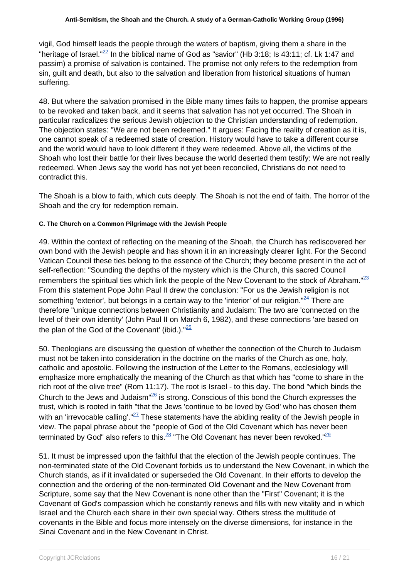vigil, God himself leads the people through the waters of baptism, giving them a share in the "heritage of Israel." $^{22}$  In the biblical name of God as "savior" (Hb 3:18; Is 43:11; cf. Lk 1:47 and passim) a promise of salvation is contained. The promise not only refers to the redemption from sin, guilt and death, but also to the salvation and liberation from historical situations of human suffering.

48. But where the salvation promised in the Bible many times fails to happen, the promise appears to be revoked and taken back, and it seems that salvation has not yet occurred. The Shoah in particular radicalizes the serious Jewish objection to the Christian understanding of redemption. The objection states: "We are not been redeemed." It argues: Facing the reality of creation as it is, one cannot speak of a redeemed state of creation. History would have to take a different course and the world would have to look different if they were redeemed. Above all, the victims of the Shoah who lost their battle for their lives because the world deserted them testify: We are not really redeemed. When Jews say the world has not yet been reconciled, Christians do not need to contradict this.

The Shoah is a blow to faith, which cuts deeply. The Shoah is not the end of faith. The horror of the Shoah and the cry for redemption remain.

#### **C. The Church on a Common Pilgrimage with the Jewish People**

49. Within the context of reflecting on the meaning of the Shoah, the Church has rediscovered her own bond with the Jewish people and has shown it in an increasingly clearer light. For the Second Vatican Council these ties belong to the essence of the Church; they become present in the act of self-reflection: "Sounding the depths of the mystery which is the Church, this sacred Council remembers the spiritual ties which link the people of the New Covenant to the stock of Abraham.<sup>"23</sup> From this statement Pope John Paul II drew the conclusion: "For us the Jewish religion is not something 'exterior', but belongs in a certain way to the 'interior' of our religion." $24$  There are therefore "unique connections between Christianity and Judaism: The two are 'connected on the level of their own identity' (John Paul II on March 6, 1982), and these connections 'are based on the plan of the God of the Covenant' (ibid.).  $\frac{25}{5}$ 

50. Theologians are discussing the question of whether the connection of the Church to Judaism must not be taken into consideration in the doctrine on the marks of the Church as one, holy, catholic and apostolic. Following the instruction of the Letter to the Romans, ecclesiology will emphasize more emphatically the meaning of the Church as that which has "come to share in the rich root of the olive tree" (Rom 11:17). The root is Israel - to this day. The bond "which binds the Church to the Jews and Judaism<sup>"26</sup> is strong. Conscious of this bond the Church expresses the trust, which is rooted in faith "that the Jews 'continue to be loved by God' who has chosen them with an 'irrevocable calling'." $27$  These statements have the abiding reality of the Jewish people in view. The papal phrase about the "people of God of the Old Covenant which has never been terminated by God" also refers to this. $^{28}$  "The Old Covenant has never been revoked." $^{29}$ 

51. It must be impressed upon the faithful that the election of the Jewish people continues. The non-terminated state of the Old Covenant forbids us to understand the New Covenant, in which the Church stands, as if it invalidated or superseded the Old Covenant. In their efforts to develop the connection and the ordering of the non-terminated Old Covenant and the New Covenant from Scripture, some say that the New Covenant is none other than the "First" Covenant; it is the Covenant of God's compassion which he constantly renews and fills with new vitality and in which Israel and the Church each share in their own special way. Others stress the multitude of covenants in the Bible and focus more intensely on the diverse dimensions, for instance in the Sinai Covenant and in the New Covenant in Christ.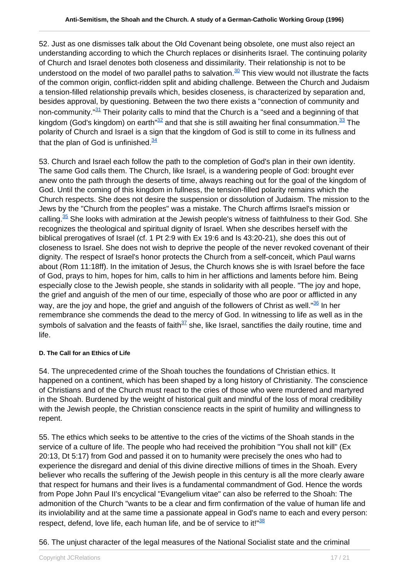52. Just as one dismisses talk about the Old Covenant being obsolete, one must also reject an understanding according to which the Church replaces or disinherits Israel. The continuing polarity of Church and Israel denotes both closeness and dissimilarity. Their relationship is not to be understood on the model of two parallel paths to salvation.<sup>30</sup> This view would not illustrate the facts of the common origin, conflict-ridden split and abiding challenge. Between the Church and Judaism a tension-filled relationship prevails which, besides closeness, is characterized by separation and, besides approval, by questioning. Between the two there exists a "connection of community and non-community. $131$  Their polarity calls to mind that the Church is a "seed and a beginning of that kingdom (God's kingdom) on earth<sup>"32</sup> and that she is still awaiting her final consummation.<sup>33</sup> The polarity of Church and Israel is a sign that the kingdom of God is still to come in its fullness and that the plan of God is unfinished. $34$ 

53. Church and Israel each follow the path to the completion of God's plan in their own identity. The same God calls them. The Church, like Israel, is a wandering people of God: brought ever anew onto the path through the deserts of time, always reaching out for the goal of the kingdom of God. Until the coming of this kingdom in fullness, the tension-filled polarity remains which the Church respects. She does not desire the suspension or dissolution of Judaism. The mission to the Jews by the "Church from the peoples" was a mistake. The Church affirms Israel's mission or calling. $35$  She looks with admiration at the Jewish people's witness of faithfulness to their God. She recognizes the theological and spiritual dignity of Israel. When she describes herself with the biblical prerogatives of Israel (cf. 1 Pt 2:9 with Ex 19:6 and Is 43:20-21), she does this out of closeness to Israel. She does not wish to deprive the people of the never revoked covenant of their dignity. The respect of Israel's honor protects the Church from a self-conceit, which Paul warns about (Rom 11:18ff). In the imitation of Jesus, the Church knows she is with Israel before the face of God, prays to him, hopes for him, calls to him in her afflictions and laments before him. Being especially close to the Jewish people, she stands in solidarity with all people. "The joy and hope, the grief and anguish of the men of our time, especially of those who are poor or afflicted in any way, are the joy and hope, the grief and anguish of the followers of Christ as well. $^{\frac{36}{36}}$  In her remembrance she commends the dead to the mercy of God. In witnessing to life as well as in the symbols of salvation and the feasts of faith $37$  she, like Israel, sanctifies the daily routine, time and life.

#### **D. The Call for an Ethics of Life**

54. The unprecedented crime of the Shoah touches the foundations of Christian ethics. It happened on a continent, which has been shaped by a long history of Christianity. The conscience of Christians and of the Church must react to the cries of those who were murdered and martyred in the Shoah. Burdened by the weight of historical guilt and mindful of the loss of moral credibility with the Jewish people, the Christian conscience reacts in the spirit of humility and willingness to repent.

55. The ethics which seeks to be attentive to the cries of the victims of the Shoah stands in the service of a culture of life. The people who had received the prohibition "You shall not kill" (Ex 20:13, Dt 5:17) from God and passed it on to humanity were precisely the ones who had to experience the disregard and denial of this divine directive millions of times in the Shoah. Every believer who recalls the suffering of the Jewish people in this century is all the more clearly aware that respect for humans and their lives is a fundamental commandment of God. Hence the words from Pope John Paul II's encyclical "Evangelium vitae" can also be referred to the Shoah: The admonition of the Church "wants to be a clear and firm confirmation of the value of human life and its inviolability and at the same time a passionate appeal in God's name to each and every person: respect, defend, love life, each human life, and be of service to it!" $38$ 

56. The unjust character of the legal measures of the National Socialist state and the criminal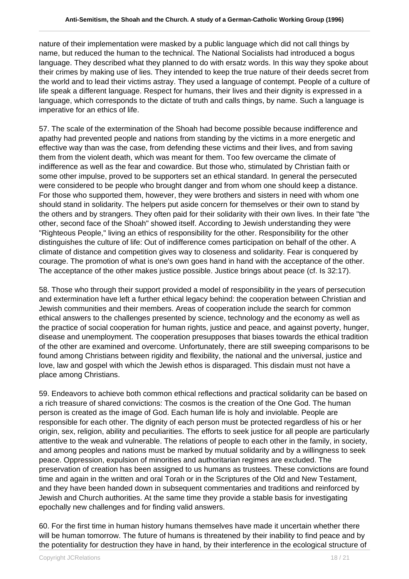nature of their implementation were masked by a public language which did not call things by name, but reduced the human to the technical. The National Socialists had introduced a bogus language. They described what they planned to do with ersatz words. In this way they spoke about their crimes by making use of lies. They intended to keep the true nature of their deeds secret from the world and to lead their victims astray. They used a language of contempt. People of a culture of life speak a different language. Respect for humans, their lives and their dignity is expressed in a language, which corresponds to the dictate of truth and calls things, by name. Such a language is imperative for an ethics of life.

57. The scale of the extermination of the Shoah had become possible because indifference and apathy had prevented people and nations from standing by the victims in a more energetic and effective way than was the case, from defending these victims and their lives, and from saving them from the violent death, which was meant for them. Too few overcame the climate of indifference as well as the fear and cowardice. But those who, stimulated by Christian faith or some other impulse, proved to be supporters set an ethical standard. In general the persecuted were considered to be people who brought danger and from whom one should keep a distance. For those who supported them, however, they were brothers and sisters in need with whom one should stand in solidarity. The helpers put aside concern for themselves or their own to stand by the others and by strangers. They often paid for their solidarity with their own lives. In their fate "the other, second face of the Shoah" showed itself. According to Jewish understanding they were "Righteous People," living an ethics of responsibility for the other. Responsibility for the other distinguishes the culture of life: Out of indifference comes participation on behalf of the other. A climate of distance and competition gives way to closeness and solidarity. Fear is conquered by courage. The promotion of what is one's own goes hand in hand with the acceptance of the other. The acceptance of the other makes justice possible. Justice brings about peace (cf. Is 32:17).

58. Those who through their support provided a model of responsibility in the years of persecution and extermination have left a further ethical legacy behind: the cooperation between Christian and Jewish communities and their members. Areas of cooperation include the search for common ethical answers to the challenges presented by science, technology and the economy as well as the practice of social cooperation for human rights, justice and peace, and against poverty, hunger, disease and unemployment. The cooperation presupposes that biases towards the ethical tradition of the other are examined and overcome. Unfortunately, there are still sweeping comparisons to be found among Christians between rigidity and flexibility, the national and the universal, justice and love, law and gospel with which the Jewish ethos is disparaged. This disdain must not have a place among Christians.

59. Endeavors to achieve both common ethical reflections and practical solidarity can be based on a rich treasure of shared convictions: The cosmos is the creation of the One God. The human person is created as the image of God. Each human life is holy and inviolable. People are responsible for each other. The dignity of each person must be protected regardless of his or her origin, sex, religion, ability and peculiarities. The efforts to seek justice for all people are particularly attentive to the weak and vulnerable. The relations of people to each other in the family, in society, and among peoples and nations must be marked by mutual solidarity and by a willingness to seek peace. Oppression, expulsion of minorities and authoritarian regimes are excluded. The preservation of creation has been assigned to us humans as trustees. These convictions are found time and again in the written and oral Torah or in the Scriptures of the Old and New Testament, and they have been handed down in subsequent commentaries and traditions and reinforced by Jewish and Church authorities. At the same time they provide a stable basis for investigating epochally new challenges and for finding valid answers.

60. For the first time in human history humans themselves have made it uncertain whether there will be human tomorrow. The future of humans is threatened by their inability to find peace and by the potentiality for destruction they have in hand, by their interference in the ecological structure of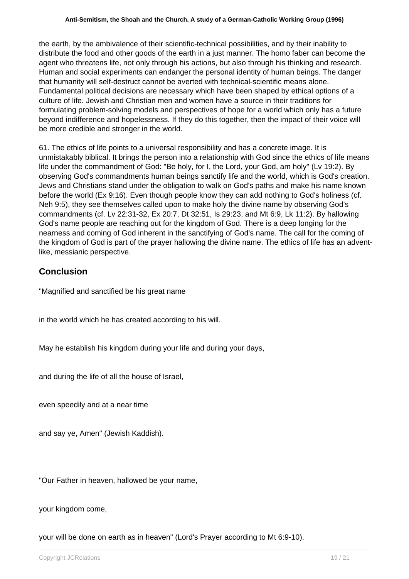the earth, by the ambivalence of their scientific-technical possibilities, and by their inability to distribute the food and other goods of the earth in a just manner. The homo faber can become the agent who threatens life, not only through his actions, but also through his thinking and research. Human and social experiments can endanger the personal identity of human beings. The danger that humanity will self-destruct cannot be averted with technical-scientific means alone. Fundamental political decisions are necessary which have been shaped by ethical options of a culture of life. Jewish and Christian men and women have a source in their traditions for formulating problem-solving models and perspectives of hope for a world which only has a future beyond indifference and hopelessness. If they do this together, then the impact of their voice will be more credible and stronger in the world.

61. The ethics of life points to a universal responsibility and has a concrete image. It is unmistakably biblical. It brings the person into a relationship with God since the ethics of life means life under the commandment of God: "Be holy, for I, the Lord, your God, am holy" (Lv 19:2). By observing God's commandments human beings sanctify life and the world, which is God's creation. Jews and Christians stand under the obligation to walk on God's paths and make his name known before the world (Ex 9:16). Even though people know they can add nothing to God's holiness (cf. Neh 9:5), they see themselves called upon to make holy the divine name by observing God's commandments (cf. Lv 22:31-32, Ex 20:7, Dt 32:51, Is 29:23, and Mt 6:9, Lk 11:2). By hallowing God's name people are reaching out for the kingdom of God. There is a deep longing for the nearness and coming of God inherent in the sanctifying of God's name. The call for the coming of the kingdom of God is part of the prayer hallowing the divine name. The ethics of life has an adventlike, messianic perspective.

## **Conclusion**

"Magnified and sanctified be his great name

in the world which he has created according to his will.

May he establish his kingdom during your life and during your days,

and during the life of all the house of Israel,

even speedily and at a near time

and say ye, Amen" (Jewish Kaddish).

"Our Father in heaven, hallowed be your name,

your kingdom come,

your will be done on earth as in heaven" (Lord's Prayer according to Mt 6:9-10).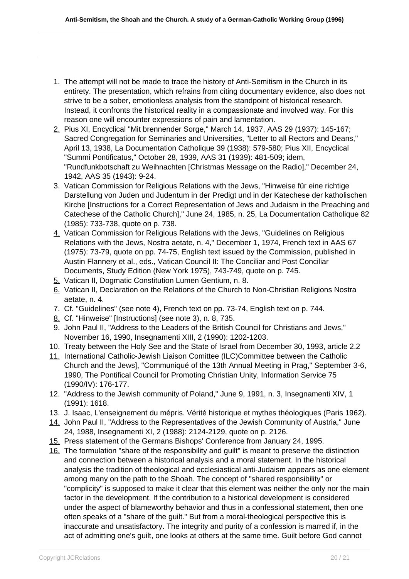- 1. The attempt will not be made to trace the history of Anti-Semitism in the Church in its entirety. The presentation, which refrains from citing documentary evidence, also does not strive to be a sober, emotionless analysis from the standpoint of historical research. Instead, it confronts the historical reality in a compassionate and involved way. For this reason one will encounter expressions of pain and lamentation.
- 2. Pius XI, Encyclical "Mit brennender Sorge," March 14, 1937, AAS 29 (1937): 145-167; Sacred Congregation for Seminaries and Universities, "Letter to all Rectors and Deans," April 13, 1938, La Documentation Catholique 39 (1938): 579-580; Pius XII, Encyclical "Summi Pontificatus," October 28, 1939, AAS 31 (1939): 481-509; idem, "Rundfunkbotschaft zu Weihnachten [Christmas Message on the Radio]," December 24, 1942, AAS 35 (1943): 9-24.
- 3. Vatican Commission for Religious Relations with the Jews, "Hinweise für eine richtige Darstellung von Juden und Judentum in der Predigt und in der Katechese der katholischen Kirche [Instructions for a Correct Representation of Jews and Judaism in the Preaching and Catechese of the Catholic Church]," June 24, 1985, n. 25, La Documentation Catholique 82 (1985): 733-738, quote on p. 738.
- 4. Vatican Commission for Religious Relations with the Jews, "Guidelines on Religious Relations with the Jews, Nostra aetate, n. 4," December 1, 1974, French text in AAS 67 (1975): 73-79, quote on pp. 74-75, English text issued by the Commission, published in Austin Flannery et al., eds., Vatican Council II: The Conciliar and Post Conciliar Documents, Study Edition (New York 1975), 743-749, quote on p. 745.
- 5. Vatican II, Dogmatic Constitution Lumen Gentium, n. 8.
- 6. Vatican II, Declaration on the Relations of the Church to Non-Christian Religions Nostra aetate, n. 4.
- 7. Cf. "Guidelines" (see note 4), French text on pp. 73-74, English text on p. 744.
- 8. Cf. "Hinweise" [Instructions] (see note 3), n. 8, 735.
- 9. John Paul II, "Address to the Leaders of the British Council for Christians and Jews," November 16, 1990, Insegnamenti XIII, 2 (1990): 1202-1203.
- 10. Treaty between the Holy See and the State of Israel from December 30, 1993, article 2.2
- 11. International Catholic-Jewish Liaison Comittee (ILC)Committee between the Catholic Church and the Jews], "Communiqué of the 13th Annual Meeting in Prag," September 3-6, 1990, The Pontifical Council for Promoting Christian Unity, Information Service 75 (1990/IV): 176-177.
- 12. "Address to the Jewish community of Poland," June 9, 1991, n. 3, Insegnamenti XIV, 1 (1991): 1618.
- 13. J. Isaac, L'enseignement du mépris. Vérité historique et mythes théologiques (Paris 1962).
- 14. John Paul II, "Address to the Representatives of the Jewish Community of Austria," June 24, 1988, Insegnamenti XI, 2 (1988): 2124-2129, quote on p. 2126.
- 15. Press statement of the Germans Bishops' Conference from January 24, 1995.
- 16. The formulation "share of the responsibility and guilt" is meant to preserve the distinction and connection between a historical analysis and a moral statement. In the historical analysis the tradition of theological and ecclesiastical anti-Judaism appears as one element among many on the path to the Shoah. The concept of "shared responsibility" or "complicity" is supposed to make it clear that this element was neither the only nor the main factor in the development. If the contribution to a historical development is considered under the aspect of blameworthy behavior and thus in a confessional statement, then one often speaks of a "share of the guilt." But from a moral-theological perspective this is inaccurate and unsatisfactory. The integrity and purity of a confession is marred if, in the act of admitting one's guilt, one looks at others at the same time. Guilt before God cannot